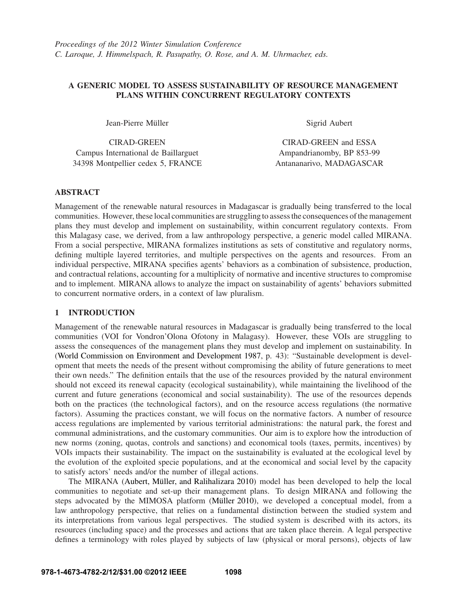# **A GENERIC MODEL TO ASSESS SUSTAINABILITY OF RESOURCE MANAGEMENT PLANS WITHIN CONCURRENT REGULATORY CONTEXTS**

Jean-Pierre Müller

CIRAD-GREEN Campus International de Baillarguet 34398 Montpellier cedex 5, FRANCE Sigrid Aubert

CIRAD-GREEN and ESSA Ampandrianomby, BP 853-99 Antananarivo, MADAGASCAR

## **ABSTRACT**

Management of the renewable natural resources in Madagascar is gradually being transferred to the local communities. However, these local communities are struggling to assess the consequences of the management plans they must develop and implement on sustainability, within concurrent regulatory contexts. From this Malagasy case, we derived, from a law anthropology perspective, a generic model called MIRANA. From a social perspective, MIRANA formalizes institutions as sets of constitutive and regulatory norms, defining multiple layered territories, and multiple perspectives on the agents and resources. From an individual perspective, MIRANA specifies agents' behaviors as a combination of subsistence, production, and contractual relations, accounting for a multiplicity of normative and incentive structures to compromise and to implement. MIRANA allows to analyze the impact on sustainability of agents' behaviors submitted to concurrent normative orders, in a context of law pluralism.

## **1 INTRODUCTION**

Management of the renewable natural resources in Madagascar is gradually being transferred to the local communities (VOI for Vondron'Olona Ofotony in Malagasy). However, these VOIs are struggling to assess the consequences of the management plans they must develop and implement on sustainability. In (World Commission on Environment and Development 1987, p. 43): "Sustainable development is development that meets the needs of the present without compromising the ability of future generations to meet their own needs." The definition entails that the use of the resources provided by the natural environment should not exceed its renewal capacity (ecological sustainability), while maintaining the livelihood of the current and future generations (economical and social sustainability). The use of the resources depends both on the practices (the technological factors), and on the resource access regulations (the normative factors). Assuming the practices constant, we will focus on the normative factors. A number of resource access regulations are implemented by various territorial administrations: the natural park, the forest and communal administrations, and the customary communities. Our aim is to explore how the introduction of new norms (zoning, quotas, controls and sanctions) and economical tools (taxes, permits, incentives) by VOIs impacts their sustainability. The impact on the sustainability is evaluated at the ecological level by the evolution of the exploited specie populations, and at the economical and social level by the capacity to satisfy actors' needs and/or the number of illegal actions.

The MIRANA (Aubert, Müller, and Ralihalizara 2010) model has been developed to help the local communities to negotiate and set-up their management plans. To design MIRANA and following the steps advocated by the MIMOSA platform (Müller 2010), we developed a conceptual model, from a law anthropology perspective, that relies on a fundamental distinction between the studied system and its interpretations from various legal perspectives. The studied system is described with its actors, its resources (including space) and the processes and actions that are taken place therein. A legal perspective defines a terminology with roles played by subjects of law (physical or moral persons), objects of law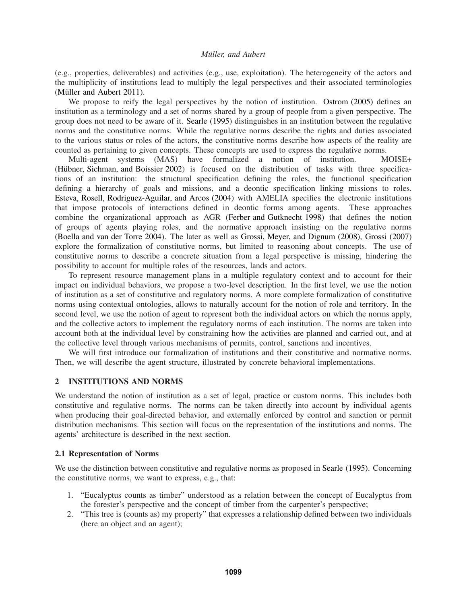(e.g., properties, deliverables) and activities (e.g., use, exploitation). The heterogeneity of the actors and the multiplicity of institutions lead to multiply the legal perspectives and their associated terminologies (Müller and Aubert 2011).

We propose to reify the legal perspectives by the notion of institution. Ostrom (2005) defines an institution as a terminology and a set of norms shared by a group of people from a given perspective. The group does not need to be aware of it. Searle (1995) distinguishes in an institution between the regulative norms and the constitutive norms. While the regulative norms describe the rights and duties associated to the various status or roles of the actors, the constitutive norms describe how aspects of the reality are counted as pertaining to given concepts. These concepts are used to express the regulative norms.

Multi-agent systems (MAS) have formalized a notion of institution. MOISE+ (Hübner, Sichman, and Boissier 2002) is focused on the distribution of tasks with three specifications of an institution: the structural specification defining the roles, the functional specification defining a hierarchy of goals and missions, and a deontic specification linking missions to roles. Esteva, Rosell, Rodriguez-Aguilar, and Arcos (2004) with AMELIA specifies the electronic institutions that impose protocols of interactions defined in deontic forms among agents. These approaches combine the organizational approach as AGR (Ferber and Gutknecht 1998) that defines the notion of groups of agents playing roles, and the normative approach insisting on the regulative norms (Boella and van der Torre 2004). The later as well as Grossi, Meyer, and Dignum (2008), Grossi (2007) explore the formalization of constitutive norms, but limited to reasoning about concepts. The use of constitutive norms to describe a concrete situation from a legal perspective is missing, hindering the possibility to account for multiple roles of the resources, lands and actors.

To represent resource management plans in a multiple regulatory context and to account for their impact on individual behaviors, we propose a two-level description. In the first level, we use the notion of institution as a set of constitutive and regulatory norms. A more complete formalization of constitutive norms using contextual ontologies, allows to naturally account for the notion of role and territory. In the second level, we use the notion of agent to represent both the individual actors on which the norms apply, and the collective actors to implement the regulatory norms of each institution. The norms are taken into account both at the individual level by constraining how the activities are planned and carried out, and at the collective level through various mechanisms of permits, control, sanctions and incentives.

We will first introduce our formalization of institutions and their constitutive and normative norms. Then, we will describe the agent structure, illustrated by concrete behavioral implementations.

## **2 INSTITUTIONS AND NORMS**

We understand the notion of institution as a set of legal, practice or custom norms. This includes both constitutive and regulative norms. The norms can be taken directly into account by individual agents when producing their goal-directed behavior, and externally enforced by control and sanction or permit distribution mechanisms. This section will focus on the representation of the institutions and norms. The agents' architecture is described in the next section.

### **2.1 Representation of Norms**

We use the distinction between constitutive and regulative norms as proposed in Searle (1995). Concerning the constitutive norms, we want to express, e.g., that:

- 1. "Eucalyptus counts as timber" understood as a relation between the concept of Eucalyptus from the forester's perspective and the concept of timber from the carpenter's perspective;
- 2. "This tree is (counts as) my property" that expresses a relationship defined between two individuals (here an object and an agent);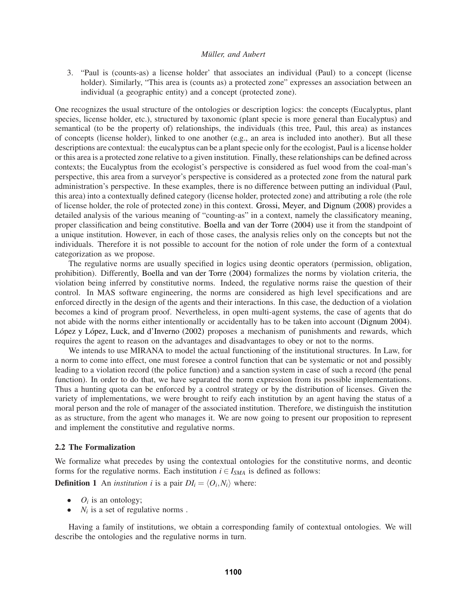3. "Paul is (counts-as) a license holder' that associates an individual (Paul) to a concept (license holder). Similarly, "This area is (counts as) a protected zone" expresses an association between an individual (a geographic entity) and a concept (protected zone).

One recognizes the usual structure of the ontologies or description logics: the concepts (Eucalyptus, plant species, license holder, etc.), structured by taxonomic (plant specie is more general than Eucalyptus) and semantical (to be the property of) relationships, the individuals (this tree, Paul, this area) as instances of concepts (license holder), linked to one another (e.g., an area is included into another). But all these descriptions are contextual: the eucalyptus can be a plant specie only for the ecologist, Paul is a license holder or this area is a protected zone relative to a given institution. Finally, these relationships can be defined across contexts; the Eucalyptus from the ecologist's perspective is considered as fuel wood from the coal-man's perspective, this area from a surveyor's perspective is considered as a protected zone from the natural park administration's perspective. In these examples, there is no difference between putting an individual (Paul, this area) into a contextually defined category (license holder, protected zone) and attributing a role (the role of license holder, the role of protected zone) in this context. Grossi, Meyer, and Dignum (2008) provides a detailed analysis of the various meaning of "counting-as" in a context, namely the classificatory meaning, proper classification and being constitutive. Boella and van der Torre (2004) use it from the standpoint of a unique institution. However, in each of those cases, the analysis relies only on the concepts but not the individuals. Therefore it is not possible to account for the notion of role under the form of a contextual categorization as we propose.

The regulative norms are usually specified in logics using deontic operators (permission, obligation, prohibition). Differently, Boella and van der Torre (2004) formalizes the norms by violation criteria, the violation being inferred by constitutive norms. Indeed, the regulative norms raise the question of their control. In MAS software engineering, the norms are considered as high level specifications and are enforced directly in the design of the agents and their interactions. In this case, the deduction of a violation becomes a kind of program proof. Nevertheless, in open multi-agent systems, the case of agents that do not abide with the norms either intentionally or accidentally has to be taken into account (Dignum 2004). López y López, Luck, and d'Inverno (2002) proposes a mechanism of punishments and rewards, which requires the agent to reason on the advantages and disadvantages to obey or not to the norms.

We intends to use MIRANA to model the actual functioning of the institutional structures. In Law, for a norm to come into effect, one must foresee a control function that can be systematic or not and possibly leading to a violation record (the police function) and a sanction system in case of such a record (the penal function). In order to do that, we have separated the norm expression from its possible implementations. Thus a hunting quota can be enforced by a control strategy or by the distribution of licenses. Given the variety of implementations, we were brought to reify each institution by an agent having the status of a moral person and the role of manager of the associated institution. Therefore, we distinguish the institution as as structure, from the agent who manages it. We are now going to present our proposition to represent and implement the constitutive and regulative norms.

#### **2.2 The Formalization**

We formalize what precedes by using the contextual ontologies for the constitutive norms, and deontic forms for the regulative norms. Each institution  $i \in I_{SMA}$  is defined as follows:

**Definition 1** An *institution i* is a pair  $DI_i = \langle O_i, N_i \rangle$  where:

- $O_i$  is an ontology;
- $N_i$  is a set of regulative norms.

Having a family of institutions, we obtain a corresponding family of contextual ontologies. We will describe the ontologies and the regulative norms in turn.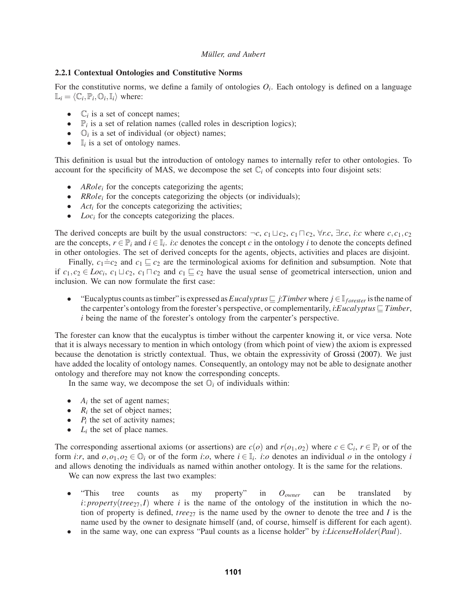#### **2.2.1 Contextual Ontologies and Constitutive Norms**

For the constitutive norms, we define a family of ontologies  $O_i$ . Each ontology is defined on a language  $\mathbb{L}_i = \langle \mathbb{C}_i, \mathbb{P}_i, \mathbb{O}_i, \mathbb{I}_i \rangle$  where:

- $\mathbb{C}_i$  is a set of concept names;
- $\mathbb{P}_i$  is a set of relation names (called roles in description logics);
- $\bullet$   $\mathbb{O}_i$  is a set of individual (or object) names;
- $\bullet$   $\mathbb{I}_i$  is a set of ontology names.

This definition is usual but the introduction of ontology names to internally refer to other ontologies. To account for the specificity of MAS, we decompose the set  $\mathbb{C}_i$  of concepts into four disjoint sets:

- *ARole<sub>i</sub>* for the concepts categorizing the agents;
- *RRole<sub>i</sub>* for the concepts categorizing the objects (or individuals);
- *Act<sub>i</sub>* for the concepts categorizing the activities;
- *Loc<sub>i</sub>* for the concepts categorizing the places.

The derived concepts are built by the usual constructors:  $\neg c$ ,  $c_1 \sqcup c_2$ ,  $c_1 \sqcap c_2$ ,  $\forall r.c$ ,  $\exists r.c$ , *i.c* where  $c$ ,  $c_1$ ,  $c_2$ are the concepts,  $r \in \mathbb{P}_i$  and  $i \in \mathbb{I}_i$ , *i*:*c* denotes the concept *c* in the ontology *i* to denote the concepts defined in other ontologies. The set of derived concepts for the agents, objects, activities and places are disjoint.

Finally,  $c_1 \equiv c_2$  and  $c_1 \equiv c_2$  are the terminological axioms for definition and subsumption. Note that if  $c_1, c_2 \in Loc_i$ ,  $c_1 \sqcup c_2$ ,  $c_1 \sqcap c_2$  and  $c_1 \sqsubseteq c_2$  have the usual sense of geometrical intersection, union and inclusion. We can now formulate the first case:

• "Eucalyptus counts as timber" is expressed as  $Eucalyptus \sqsubseteq j:$  *Timber* where  $j \in \mathbb{I}$  *forester* is the name of the carpenter's ontology from the forester's perspective, or complementarily, *i:Eucalyptus*  $\sqsubseteq$  *Timber*, *i* being the name of the forester's ontology from the carpenter's perspective.

The forester can know that the eucalyptus is timber without the carpenter knowing it, or vice versa. Note that it is always necessary to mention in which ontology (from which point of view) the axiom is expressed because the denotation is strictly contextual. Thus, we obtain the expressivity of Grossi (2007). We just have added the locality of ontology names. Consequently, an ontology may not be able to designate another ontology and therefore may not know the corresponding concepts.

In the same way, we decompose the set  $\mathbb{O}_i$  of individuals within:

- $A_i$  the set of agent names;
- $R_i$  the set of object names;
- $P_i$  the set of activity names;
- $L_i$  the set of place names.

The corresponding assertional axioms (or assertions) are  $c(o)$  and  $r(o_1, o_2)$  where  $c \in \mathbb{C}_i$ ,  $r \in \mathbb{P}_i$  or of the form *i*:*r*, and  $o, o_1, o_2 \in \mathbb{O}_i$  or of the form *i*:*o*, where  $i \in \mathbb{I}_i$ , *i*:*o* denotes an individual *o* in the ontology *i* and allows denoting the individuals as named within another ontology. It is the same for the relations.

We can now express the last two examples:

- "This tree counts as my property" in *Oowner* can be translated by *i*: *property*(*tree*<sub>27</sub>,*I*) where *i* is the name of the ontology of the institution in which the notion of property is defined, *tree*<sup>27</sup> is the name used by the owner to denote the tree and *I* is the name used by the owner to designate himself (and, of course, himself is different for each agent).
- in the same way, one can express "Paul counts as a license holder" by *i*:*LicenseHolder*(*Paul*).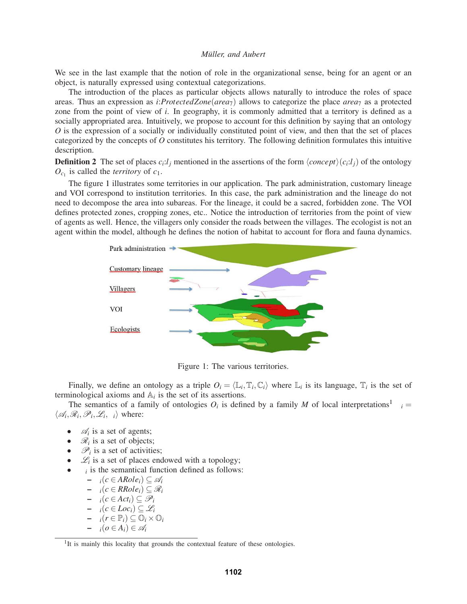We see in the last example that the notion of role in the organizational sense, being for an agent or an object, is naturally expressed using contextual categorizations.

The introduction of the places as particular objects allows naturally to introduce the roles of space areas. Thus an expression as *i*:*ProtectedZone*(*area*7) allows to categorize the place *area*<sup>7</sup> as a protected zone from the point of view of *i*. In geography, it is commonly admitted that a territory is defined as a socially appropriated area. Intuitively, we propose to account for this definition by saying that an ontology *O* is the expression of a socially or individually constituted point of view, and then that the set of places categorized by the concepts of *O* constitutes his territory. The following definition formulates this intuitive description.

**Definition 2** The set of places  $c_i: l_j$  mentioned in the assertions of the form  $\langle concept \rangle(c_i: l_j)$  of the ontology  $O_{c_1}$  is called the *territory* of  $c_1$ .

The figure 1 illustrates some territories in our application. The park administration, customary lineage and VOI correspond to institution territories. In this case, the park administration and the lineage do not need to decompose the area into subareas. For the lineage, it could be a sacred, forbidden zone. The VOI defines protected zones, cropping zones, etc.. Notice the introduction of territories from the point of view of agents as well. Hence, the villagers only consider the roads between the villages. The ecologist is not an agent within the model, although he defines the notion of habitat to account for flora and fauna dynamics.



Figure 1: The various territories.

Finally, we define an ontology as a triple  $O_i = \langle \mathbb{L}_i, \mathbb{T}_i, \mathbb{C}_i \rangle$  where  $\mathbb{L}_i$  is its language,  $\mathbb{T}_i$  is the set of terminological axioms and  $A_i$  is the set of its assertions.

The semantics of a family of ontologies  $O_i$  is defined by a family *M* of local interpretations<sup>1</sup>  $\Delta_i$  $\langle \mathcal{A}_i, \mathcal{R}_i, \mathcal{P}_i, \mathcal{L}_i, \pi_i \rangle$  where:

- $\mathcal{A}_i$  is a set of agents;
- $\mathcal{R}_i$  is a set of objects;
- $\mathscr{P}_i$  is a set of activities;
- $\mathcal{L}_i$  is a set of places endowed with a topology;
- $\bullet$   $\pi$ <sub>*i*</sub> is the semantical function defined as follows:

$$
- \pi_i(c \in ARole_i) \subseteq \mathcal{A}_i
$$
  
\n
$$
- \pi_i(c \in RRole_i) \subseteq \mathcal{R}_i
$$
  
\n
$$
- \pi_i(c \in Act_i) \subseteq \mathcal{P}_i
$$
  
\n
$$
- \pi_i(c \in Loc_i) \subseteq \mathcal{L}_i
$$
  
\n
$$
- \pi_i(r \in \mathbb{P}_i) \subseteq \mathbb{Q}_i \times \mathbb{Q}_i
$$
  
\n
$$
- \pi_i(o \in A_i) \in \mathcal{A}_i
$$

<sup>&</sup>lt;sup>1</sup>It is mainly this locality that grounds the contextual feature of these ontologies.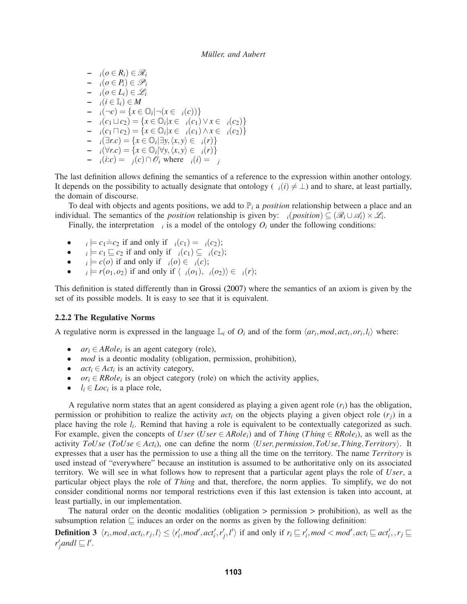$$
- \pi_i(o \in R_i) \in \mathcal{R}_i
$$
  
\n
$$
- \pi_i(o \in P_i) \in \mathcal{P}_i
$$
  
\n
$$
- \pi_i(o \in L_i) \in \mathcal{L}_i
$$
  
\n
$$
- \pi_i(i \in \mathbb{I}_i) \in M
$$
  
\n
$$
- \pi_i(\neg c) = \{x \in \mathbb{O}_i | \neg (x \in \pi_i(c))\}
$$
  
\n
$$
- \pi_i(c_1 \sqcup c_2) = \{x \in \mathbb{O}_i | x \in \pi_i(c_1) \lor x \in \pi_i(c_2)\}
$$
  
\n
$$
- \pi_i(c_1 \sqcap c_2) = \{x \in \mathbb{O}_i | x \in \pi_i(c_1) \land x \in \pi_i(c_2)\}
$$
  
\n
$$
- \pi_i(\exists r.c) = \{x \in \mathbb{O}_i | \exists y, \langle x, y \rangle \in \pi_i(r)\}
$$
  
\n
$$
- \pi_i(\forall r.c) = \{x \in \mathbb{O}_i | \forall y, \langle x, y \rangle \in \pi_i(r)\}
$$
  
\n
$$
- \pi_i(i:c) = \pi_j(c) \cap \mathcal{O}_i \text{ where } \pi_i(i) = \Delta_j
$$

The last definition allows defining the semantics of a reference to the expression within another ontology. It depends on the possibility to actually designate that ontology ( $\pi_i(i) \neq \perp$ ) and to share, at least partially, the domain of discourse.

To deal with objects and agents positions, we add to  $\mathbb{P}_i$  a *position* relationship between a place and an individual. The semantics of the *position* relationship is given by:  $\pi_i(\textit{position}) \subseteq (\mathscr{R}_i \cup \mathscr{A}_i) \times \mathscr{L}_i$ .

Finally, the interpretation  $\Delta_i$  is a model of the ontology  $O_i$  under the following conditions:

- $\Delta_i \models c_1 \doteq c_2$  if and only if  $\pi_i(c_1) = \pi_i(c_2)$ ;
- $\Delta_i \models c_1 \sqsubseteq c_2$  if and only if  $\pi_i(c_1) \subseteq \pi_i(c_2)$ ;
- $\Delta_i \models c(o)$  if and only if  $\pi_i(o) \in \pi_i(c)$ ;
- $\Delta_i \models r(o_1, o_2)$  if and only if  $\langle \pi_i(o_1), \pi_i(o_2) \rangle \in \pi_i(r)$ ;

This definition is stated differently than in Grossi (2007) where the semantics of an axiom is given by the set of its possible models. It is easy to see that it is equivalent.

#### **2.2.2 The Regulative Norms**

A regulative norm is expressed in the language  $\mathbb{L}_i$  of  $O_i$  and of the form  $\langle ar_i, mod, act_i, or_i, l_i \rangle$  where:

- $ar_i \in ARole_i$  is an agent category (role),
- *mod* is a deontic modality (obligation, permission, prohibition),
- $act_i \in Act_i$  is an activity category,
- $or_i \in RRole_i$  is an object category (role) on which the activity applies,
- $l_i \in Loc_i$  is a place role,

A regulative norm states that an agent considered as playing a given agent role  $(r_i)$  has the obligation, permission or prohibition to realize the activity  $act_i$  on the objects playing a given object role  $(r_i)$  in a place having the role *l<sup>i</sup>* . Remind that having a role is equivalent to be contextually categorized as such. For example, given the concepts of *User* (*User*  $\in$  *ARole<sub>i</sub>*) and of *Thing* (*Thing*  $\in$  *RRole<sub>i</sub>*), as well as the activity  $T_{\text{o}}U_{\text{se}} \in \text{Act}_i$ , one can define the norm  $\langle User, permission, T_{\text{o}}U_{\text{se}}\rangle$ ,  $T_{\text{hing}}$ ,  $T_{\text{erritory}}\rangle$ . It expresses that a user has the permission to use a thing all the time on the territory. The name *Territory* is used instead of "everywhere" because an institution is assumed to be authoritative only on its associated territory. We will see in what follows how to represent that a particular agent plays the role of *User*, a particular object plays the role of *T hing* and that, therefore, the norm applies. To simplify, we do not consider conditional norms nor temporal restrictions even if this last extension is taken into account, at least partially, in our implementation.

The natural order on the deontic modalities (obligation > permission > prohibition), as well as the subsumption relation  $\Box$  induces an order on the norms as given by the following definition:

**Definition 3**  $\langle r_i, mod, act_i, r_j, l \rangle \leq \langle r'_i, mod', act'_i, r'_j, l' \rangle$  if and only if  $r_i \sqsubseteq r'_i, mod < mod', act_i \sqsubseteq act'_i, r_j \sqsubseteq$  $r'_j$ andl $\sqsubseteq$  *l'*.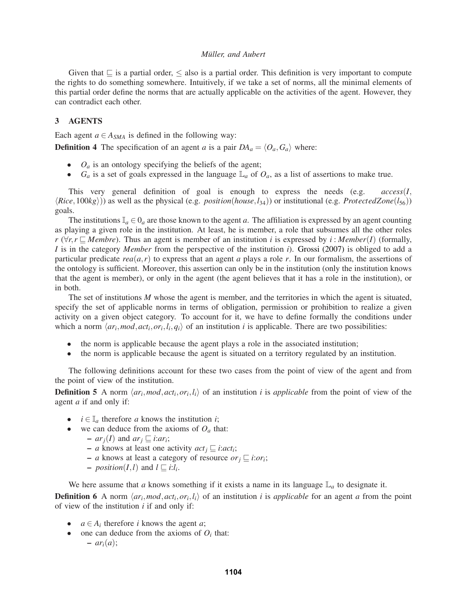Given that  $\subseteq$  is a partial order,  $\leq$  also is a partial order. This definition is very important to compute the rights to do something somewhere. Intuitively, if we take a set of norms, all the minimal elements of this partial order define the norms that are actually applicable on the activities of the agent. However, they can contradict each other.

### **3 AGENTS**

Each agent  $a \in A_{SMA}$  is defined in the following way:

**Definition 4** The specification of an agent *a* is a pair  $DA_a = \langle O_a, G_a \rangle$  where:

- $O_a$  is an ontology specifying the beliefs of the agent;
- $G_a$  is a set of goals expressed in the language  $\mathbb{L}_a$  of  $O_a$ , as a list of assertions to make true.

This very general definition of goal is enough to express the needs (e.g. *access*(*I*,  $\langle Rice, 100kg \rangle)$  as well as the physical (e.g. *position*(*house*,*l*<sub>34</sub>)) or institutional (e.g. *ProtectedZone*(*l*<sub>56</sub>)) goals.

The institutions  $\mathbb{I}_a \in \mathcal{O}_a$  are those known to the agent *a*. The affiliation is expressed by an agent counting as playing a given role in the institution. At least, he is member, a role that subsumes all the other roles  $r(\forall r, r \subseteq Member)$ . Thus an agent is member of an institution *i* is expressed by *i* : *Member*(*I*) (formally, *I* is in the category *Member* from the perspective of the institution *i*). Grossi (2007) is obliged to add a particular predicate  $rea(a, r)$  to express that an agent *a* plays a role *r*. In our formalism, the assertions of the ontology is sufficient. Moreover, this assertion can only be in the institution (only the institution knows that the agent is member), or only in the agent (the agent believes that it has a role in the institution), or in both.

The set of institutions *M* whose the agent is member, and the territories in which the agent is situated, specify the set of applicable norms in terms of obligation, permission or prohibition to realize a given activity on a given object category. To account for it, we have to define formally the conditions under which a norm  $\langle ar_i, mod, act_i, or_i, l_i, q_i \rangle$  of an institution *i* is applicable. There are two possibilities:

- the norm is applicable because the agent plays a role in the associated institution;
- the norm is applicable because the agent is situated on a territory regulated by an institution.

The following definitions account for these two cases from the point of view of the agent and from the point of view of the institution.

**Definition 5** A norm  $\langle ar_i, mod, act_i, or_i, l_i \rangle$  of an institution *i* is *applicable* from the point of view of the agent *a* if and only if:

- $i \in \mathbb{I}_a$  therefore *a* knows the institution *i*;
- we can deduce from the axioms of  $O_a$  that:
	- $ar_j(I)$  and  $ar_j \sqsubseteq i: ar_i;$
	- $-$  *a* knows at least one activity  $act_j \sqsubseteq i:act_i;$
	- $-$  *a* knows at least a category of resource  $or_j \sqsubseteq i: or_i;$
	- *– position*( $I, I$ ) and  $I \sqsubseteq i: I_i$ .

We here assume that *a* knows something if it exists a name in its language  $\mathbb{L}_a$  to designate it.

**Definition 6** A norm  $\langle ar_i, mod, act_i, or_i, l_i \rangle$  of an institution *i* is *applicable* for an agent *a* from the point of view of the institution *i* if and only if:

- $a \in A_i$  therefore *i* knows the agent *a*;
- one can deduce from the axioms of  $O_i$  that:  $= ar_i(a);$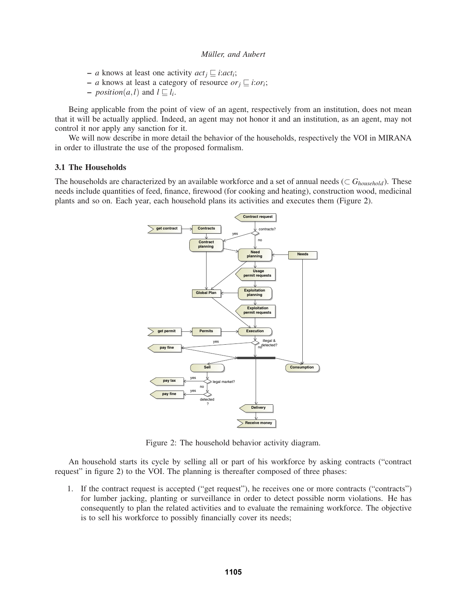- $-$  *a* knows at least one activity  $act_j \sqsubseteq i:act_i;$
- $-$  *a* knows at least a category of resource  $or_j \sqsubseteq i: or_i;$
- *– position*( $a, l$ ) and  $l \sqsubseteq l_i$ .

Being applicable from the point of view of an agent, respectively from an institution, does not mean that it will be actually applied. Indeed, an agent may not honor it and an institution, as an agent, may not control it nor apply any sanction for it.

We will now describe in more detail the behavior of the households, respectively the VOI in MIRANA in order to illustrate the use of the proposed formalism.

#### **3.1 The Households**

The households are characterized by an available workforce and a set of annual needs ( $\subset G_{household}$ ). These needs include quantities of feed, finance, firewood (for cooking and heating), construction wood, medicinal plants and so on. Each year, each household plans its activities and executes them (Figure 2).



Figure 2: The household behavior activity diagram.

An household starts its cycle by selling all or part of his workforce by asking contracts ("contract request" in figure 2) to the VOI. The planning is thereafter composed of three phases:

1. If the contract request is accepted ("get request"), he receives one or more contracts ("contracts") for lumber jacking, planting or surveillance in order to detect possible norm violations. He has consequently to plan the related activities and to evaluate the remaining workforce. The objective is to sell his workforce to possibly financially cover its needs;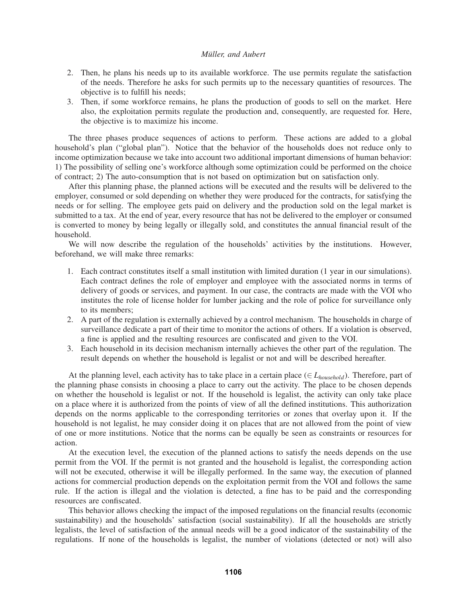- 2. Then, he plans his needs up to its available workforce. The use permits regulate the satisfaction of the needs. Therefore he asks for such permits up to the necessary quantities of resources. The objective is to fulfill his needs;
- 3. Then, if some workforce remains, he plans the production of goods to sell on the market. Here also, the exploitation permits regulate the production and, consequently, are requested for. Here, the objective is to maximize his income.

The three phases produce sequences of actions to perform. These actions are added to a global household's plan ("global plan"). Notice that the behavior of the households does not reduce only to income optimization because we take into account two additional important dimensions of human behavior: 1) The possibility of selling one's workforce although some optimization could be performed on the choice of contract; 2) The auto-consumption that is not based on optimization but on satisfaction only.

After this planning phase, the planned actions will be executed and the results will be delivered to the employer, consumed or sold depending on whether they were produced for the contracts, for satisfying the needs or for selling. The employee gets paid on delivery and the production sold on the legal market is submitted to a tax. At the end of year, every resource that has not be delivered to the employer or consumed is converted to money by being legally or illegally sold, and constitutes the annual financial result of the household.

We will now describe the regulation of the households' activities by the institutions. However, beforehand, we will make three remarks:

- 1. Each contract constitutes itself a small institution with limited duration (1 year in our simulations). Each contract defines the role of employer and employee with the associated norms in terms of delivery of goods or services, and payment. In our case, the contracts are made with the VOI who institutes the role of license holder for lumber jacking and the role of police for surveillance only to its members;
- 2. A part of the regulation is externally achieved by a control mechanism. The households in charge of surveillance dedicate a part of their time to monitor the actions of others. If a violation is observed, a fine is applied and the resulting resources are confiscated and given to the VOI.
- 3. Each household in its decision mechanism internally achieves the other part of the regulation. The result depends on whether the household is legalist or not and will be described hereafter.

At the planning level, each activity has to take place in a certain place ( $\in L_{household}$ ). Therefore, part of the planning phase consists in choosing a place to carry out the activity. The place to be chosen depends on whether the household is legalist or not. If the household is legalist, the activity can only take place on a place where it is authorized from the points of view of all the defined institutions. This authorization depends on the norms applicable to the corresponding territories or zones that overlay upon it. If the household is not legalist, he may consider doing it on places that are not allowed from the point of view of one or more institutions. Notice that the norms can be equally be seen as constraints or resources for action.

At the execution level, the execution of the planned actions to satisfy the needs depends on the use permit from the VOI. If the permit is not granted and the household is legalist, the corresponding action will not be executed, otherwise it will be illegally performed. In the same way, the execution of planned actions for commercial production depends on the exploitation permit from the VOI and follows the same rule. If the action is illegal and the violation is detected, a fine has to be paid and the corresponding resources are confiscated.

This behavior allows checking the impact of the imposed regulations on the financial results (economic sustainability) and the households' satisfaction (social sustainability). If all the households are strictly legalists, the level of satisfaction of the annual needs will be a good indicator of the sustainability of the regulations. If none of the households is legalist, the number of violations (detected or not) will also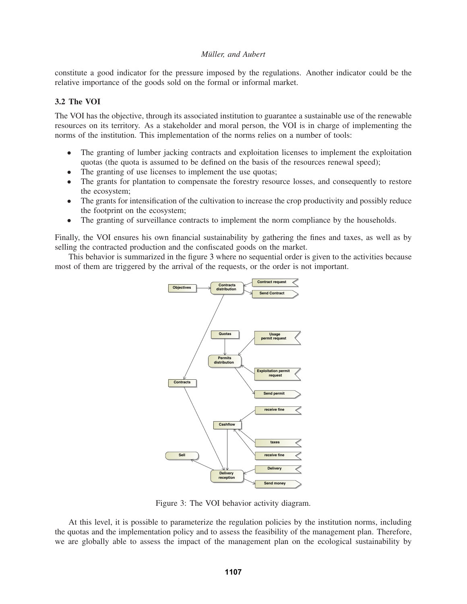constitute a good indicator for the pressure imposed by the regulations. Another indicator could be the relative importance of the goods sold on the formal or informal market.

## **3.2 The VOI**

The VOI has the objective, through its associated institution to guarantee a sustainable use of the renewable resources on its territory. As a stakeholder and moral person, the VOI is in charge of implementing the norms of the institution. This implementation of the norms relies on a number of tools:

- The granting of lumber jacking contracts and exploitation licenses to implement the exploitation quotas (the quota is assumed to be defined on the basis of the resources renewal speed);
- The granting of use licenses to implement the use quotas;
- The grants for plantation to compensate the forestry resource losses, and consequently to restore the ecosystem;
- The grants for intensification of the cultivation to increase the crop productivity and possibly reduce the footprint on the ecosystem;
- The granting of surveillance contracts to implement the norm compliance by the households.

Finally, the VOI ensures his own financial sustainability by gathering the fines and taxes, as well as by selling the contracted production and the confiscated goods on the market.

This behavior is summarized in the figure 3 where no sequential order is given to the activities because most of them are triggered by the arrival of the requests, or the order is not important.



Figure 3: The VOI behavior activity diagram.

At this level, it is possible to parameterize the regulation policies by the institution norms, including the quotas and the implementation policy and to assess the feasibility of the management plan. Therefore, we are globally able to assess the impact of the management plan on the ecological sustainability by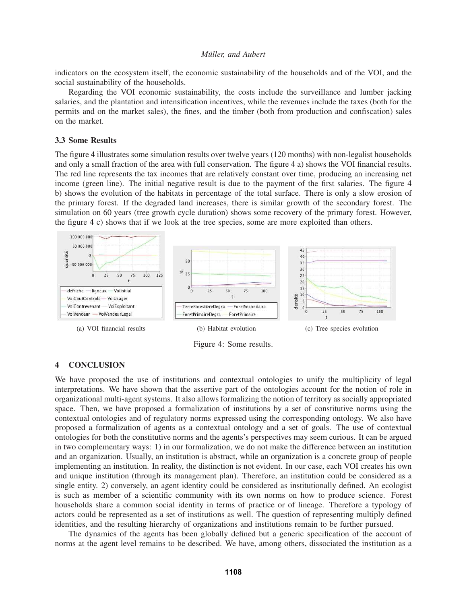indicators on the ecosystem itself, the economic sustainability of the households and of the VOI, and the social sustainability of the households.

Regarding the VOI economic sustainability, the costs include the surveillance and lumber jacking salaries, and the plantation and intensification incentives, while the revenues include the taxes (both for the permits and on the market sales), the fines, and the timber (both from production and confiscation) sales on the market.

#### **3.3 Some Results**

The figure 4 illustrates some simulation results over twelve years (120 months) with non-legalist households and only a small fraction of the area with full conservation. The figure 4 a) shows the VOI financial results. The red line represents the tax incomes that are relatively constant over time, producing an increasing net income (green line). The initial negative result is due to the payment of the first salaries. The figure 4 b) shows the evolution of the habitats in percentage of the total surface. There is only a slow erosion of the primary forest. If the degraded land increases, there is similar growth of the secondary forest. The simulation on 60 years (tree growth cycle duration) shows some recovery of the primary forest. However, the figure 4 c) shows that if we look at the tree species, some are more exploited than others.



Figure 4: Some results.

### **4 CONCLUSION**

We have proposed the use of institutions and contextual ontologies to unify the multiplicity of legal interpretations. We have shown that the assertive part of the ontologies account for the notion of role in organizational multi-agent systems. It also allows formalizing the notion of territory as socially appropriated space. Then, we have proposed a formalization of institutions by a set of constitutive norms using the contextual ontologies and of regulatory norms expressed using the corresponding ontology. We also have proposed a formalization of agents as a contextual ontology and a set of goals. The use of contextual ontologies for both the constitutive norms and the agents's perspectives may seem curious. It can be argued in two complementary ways: 1) in our formalization, we do not make the difference between an institution and an organization. Usually, an institution is abstract, while an organization is a concrete group of people implementing an institution. In reality, the distinction is not evident. In our case, each VOI creates his own and unique institution (through its management plan). Therefore, an institution could be considered as a single entity. 2) conversely, an agent identity could be considered as institutionally defined. An ecologist is such as member of a scientific community with its own norms on how to produce science. Forest households share a common social identity in terms of practice or of lineage. Therefore a typology of actors could be represented as a set of institutions as well. The question of representing multiply defined identities, and the resulting hierarchy of organizations and institutions remain to be further pursued.

The dynamics of the agents has been globally defined but a generic specification of the account of norms at the agent level remains to be described. We have, among others, dissociated the institution as a